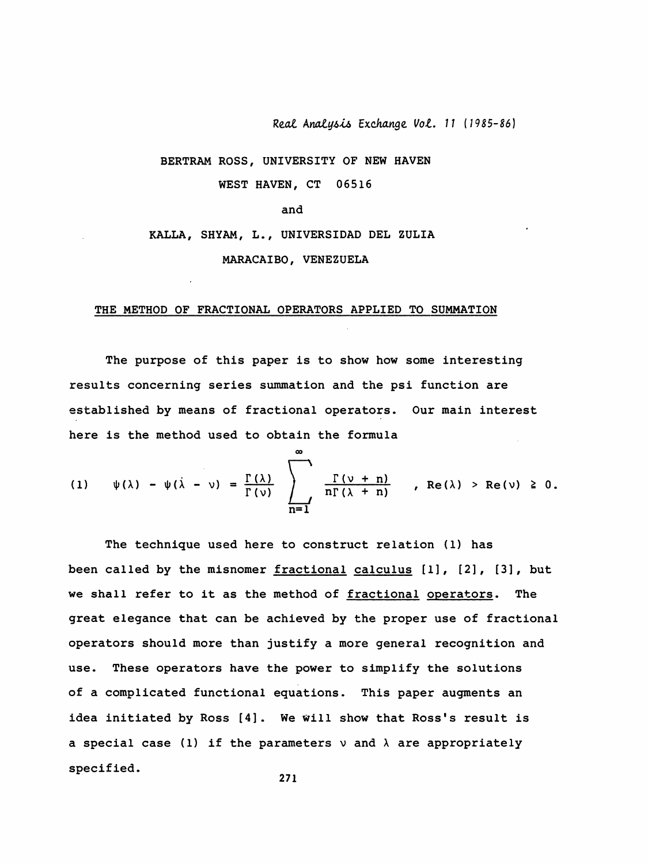Real Analysis Exchange Vol. 11 (1985-86)

## BERTRAM ROSS, UNIVERSITY OF NEW HAVEN

WEST HAVEN, CT 06516

and

## KALLA, SHYAM, L., UNIVERSIDAD DEL ZULIA

MARACAIBO, VENEZUELA

## THE METHOD OF FRACTIONAL OPERATORS APPLIED TO SUMMATION

The purpose of this paper is to show how some interesting results concerning series summation and the psi function are established by means of fractional operators. Our main interest here is the method used to obtain the formula

(1) 
$$
\psi(\lambda) - \psi(\lambda - \nu) = \frac{\Gamma(\lambda)}{\Gamma(\nu)} \sum_{n=1}^{\infty} \frac{\Gamma(\nu + n)}{n\Gamma(\lambda + n)}
$$
, Re(\lambda) > Re(\nu) \ge 0.

The technique used here to construct relation (1) has been called by the misnomer fractional calculus [1], [2], [3], but we shall refer to it as the method of fractional operators. The great elegance that can be achieved by the proper use of fractional operators should more than justify a more general recognition and These operators have the power to simplify the solutions use. of a complicated functional equations. This paper augments an idea initiated by Ross [4]. We will show that Ross's result is a special case (1) if the parameters  $\nu$  and  $\lambda$  are appropriately specified.

$$
271
$$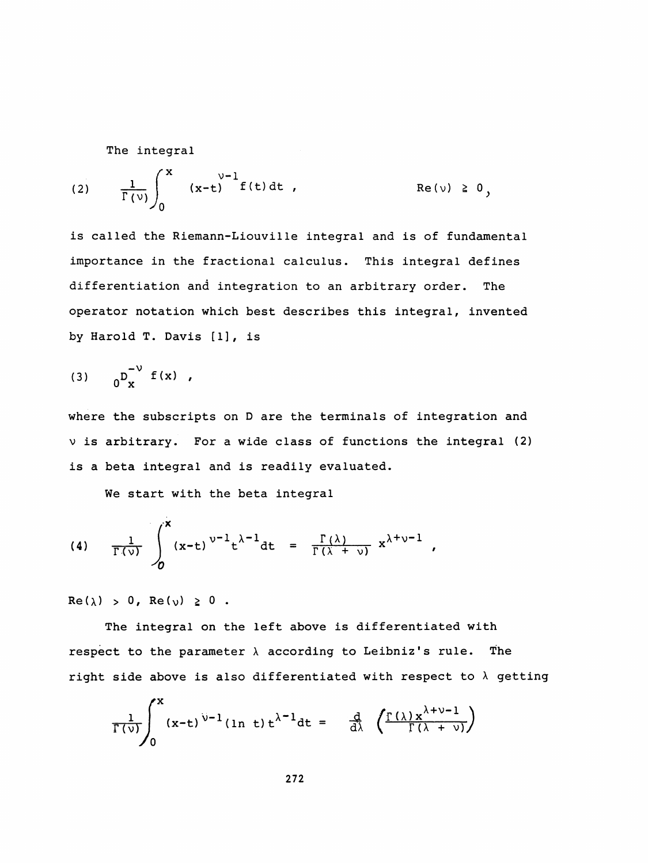The integral

 i\* v-l (2) - i- (x-t) f ( t) dt , Re ( v) > 0. - r(V) I , > > 0

is called the Riemann-Liouville integral and is of fundamental importance in the fractional calculus. This integral defines differentiation and integration to an arbitrary order. The operator notation which best describes this integral, invented by Harold T. Davis [1], is

(3) 
$$
0^{\int_{x}^{-\nu} f(x)},
$$

 where the subscripts on D are the terminals of integration and v is arbitrary. For a wide class of functions the integral (2) is a beta integral and is readily evaluated.

We start with the beta integral

(4) 
$$
\frac{1}{\Gamma(\nu)} \int_{0}^{x} (x-t)^{\nu-1} t^{\lambda-1} dt = \frac{\Gamma(\lambda)}{\Gamma(\lambda+\nu)} x^{\lambda+\nu-1}
$$

 $Re(\lambda) > 0$ ,  $Re(\nu) \ge 0$ .

 The integral on the left above is differentiated with respect to the parameter  $\lambda$  according to Leibniz's rule. The right side above is also differentiated with respect to  $\lambda$  getting

$$
\frac{1}{\Gamma(\nu)}\int_0^x (x-t)^{\nu-1}(\ln t) t^{\lambda-1} dt = \frac{d}{d\lambda} \left( \frac{\Gamma(\lambda) x^{\lambda+\nu-1}}{\Gamma(\lambda+\nu)} \right)
$$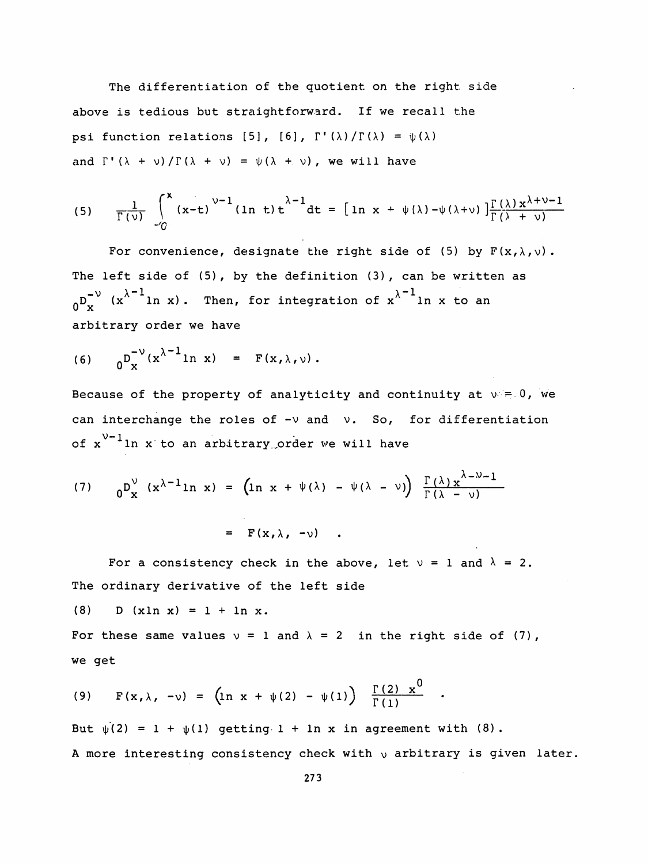The differentiation of the quotient on the right side above is tedious but straightforward. If we recall the psi function relations [5], [6],  $\Gamma'(\lambda)/\Gamma(\lambda) = \psi(\lambda)$ and  $\Gamma'(\lambda + \nu)/\Gamma(\lambda + \nu) = \psi(\lambda + \nu)$ , we will have

(5) 
$$
\frac{1}{\Gamma(\nu)} \int_{0}^{x} (x-t)^{\nu-1} (\ln t) t^{\lambda-1} dt = [\ln x + \psi(\lambda) - \psi(\lambda+\nu)] \frac{\Gamma(\lambda) x^{\lambda+\nu-1}}{\Gamma(\lambda+\nu)}
$$

For convenience, designate the right side of (5) by  $F(x, \lambda, \nu)$ . The left side of (5), by the definition (3), can be written as  $n_D^{\nu}$  (x<sup> $\lambda^{-1}$ </sup>ln x). Then, for integration of x<sup> $\lambda^{-1}$ </sup>ln x to an arbitrary order we have

(6) 
$$
0^{\int_{x}^{x} (x^{\lambda - 1} \ln x)} = F(x, \lambda, \nu).
$$

Because of the property of analyticity and continuity at  $v = 0$ , we can interchange the roles of  $-v$  and  $v$ . So, for differentiation of  $x^{\nu-1}$ ln x to an arbitrary order we will have

(7) 
$$
{}_0^D{}_{\mathbf{x}}^V (\mathbf{x}^{\lambda-1}\ln \mathbf{x}) = (\ln \mathbf{x} + \psi(\lambda) - \psi(\lambda - \nu)) \frac{\Gamma(\lambda)\mathbf{x}^{\lambda-\nu-1}}{\Gamma(\lambda - \nu)}
$$
  

$$
= \mathbf{F}(\mathbf{x}, \lambda, -\nu) .
$$

For a consistency check in the above, let  $v = 1$  and  $\lambda = 2$ . The ordinary derivative of the left side

(8) D  $(x \ln x) = 1 + \ln x$ .

For these same values  $v = 1$  and  $\lambda = 2$  in the right side of (7), we get

(9) 
$$
F(x, \lambda, -\nu) = (\ln x + \psi(2) - \psi(1)) \frac{\Gamma(2) x^0}{\Gamma(1)}
$$
.

But  $\psi(2) = 1 + \psi(1)$  getting  $1 + \ln x$  in agreement with (8). A more interesting consistency check with  $\nu$  arbitrary is given later.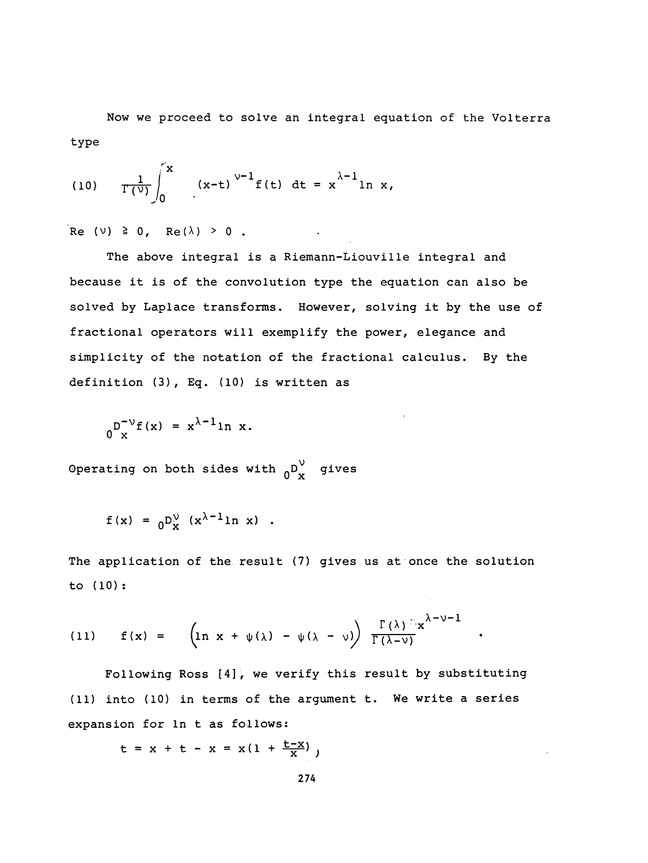Now we proceed to solve an integral equation of the Volterra type

(10) 
$$
\frac{1}{\Gamma(\nu)} \int_{0}^{x} (x-t)^{\nu-1} f(t) dt = x^{\lambda-1} \ln x,
$$

Re (v)  $\geq 0$ , Re( $\lambda$ ) > 0.

 The above integral is a Riemann-Liouville integral and because it is of the convolution type the equation can also be solved by Laplace transforms. However, solving it by the use of fractional operators will exemplify the power, elegance and simplicity of the notation of the fractional calculus. By the definition (3) , Eq. (10) is written as

$$
0\int_{x}^{D^{-1}} f(x) = x^{\lambda - 1} \ln x.
$$

Operating on both sides with  ${}_{0}D_{x}^{V}$  gives

$$
f(x) = 0N / (x\lambda-1 ln x) .
$$

The application of the result (7) gives us at once the solution to (10) :

 $\mathcal{L}_{\mathrm{eff}}$ 

(11) 
$$
f(x) = \left(\ln x + \psi(\lambda) - \psi(\lambda - \nu)\right) \frac{\Gamma(\lambda)^{\frac{1}{\lambda}}x^{\lambda - \nu - 1}}{\Gamma(\lambda - \nu)}
$$
.

 Following Ross [4], we verify this result by substituting (11) into (10) in terms of the argument t. We write a series expansion for In t as follows:

$$
t = x + t - x = x(1 + \frac{t - x}{x})
$$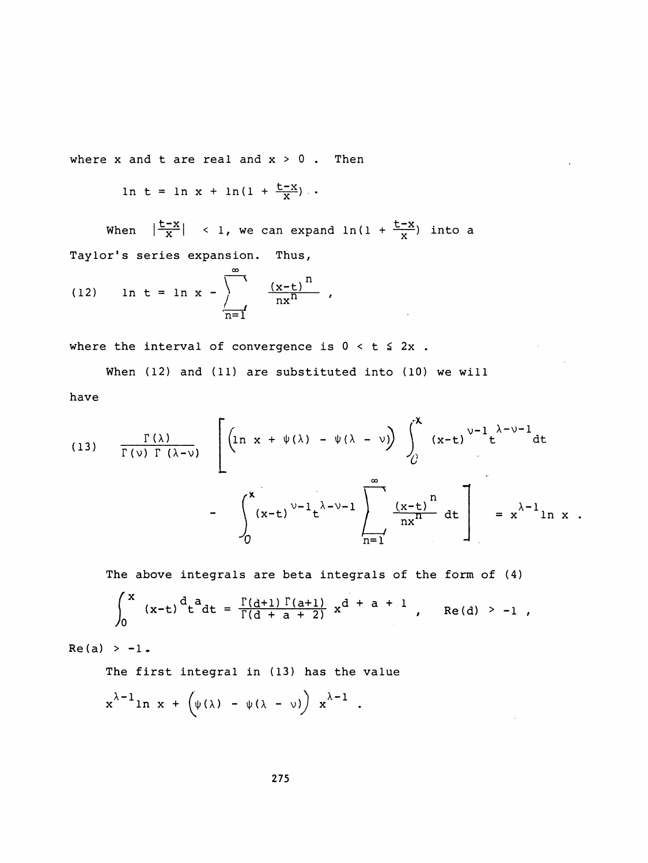where  $x$  and  $t$  are real and  $x > 0$ . Then

$$
\ln t = \ln x + \ln(1 + \frac{t - x}{x}).
$$

When  $\left|\frac{t-x}{x}\right|$  < 1, we can expand  $\ln(1 + \frac{t-x}{x})$  into a Taylor's series expansion. Thus,

(12) 
$$
\ln t = \ln x - \sum_{n=1}^{\infty} \frac{(x-t)^n}{nx^n}
$$
,

where the interval of convergence is  $0 < t \leq 2x$ .

When (12) and (11) are substituted into (10) we will have

(13) 
$$
\frac{\Gamma(\lambda)}{\Gamma(\nu) \Gamma(\lambda-\nu)} \left[ \left( \ln x + \psi(\lambda) - \psi(\lambda - \nu) \right) \int_{0}^{x} (x-t)^{\nu-1} t^{\lambda-\nu-1} dt - \int_{0}^{x} (x-t)^{\nu-1} t^{\lambda-\nu-1} \frac{e^{x}}{\ln x} dx \right] = x^{\lambda-1} \ln x.
$$

The above integrals are beta integrals of the form of (4)

$$
\int_0^x (x-t)^{\frac{d}{2}} dt = \frac{\Gamma(d+1) \Gamma(a+1)}{\Gamma(d+a+2)} x^{d+a+1}, \quad \text{Re}(d) > -1,
$$

 $Re(a) > -1.$ 

The first integral in (13) has the value

$$
x^{\lambda-1}\ln x + \left(\psi(\lambda) - \psi(\lambda - \nu)\right) x^{\lambda-1} .
$$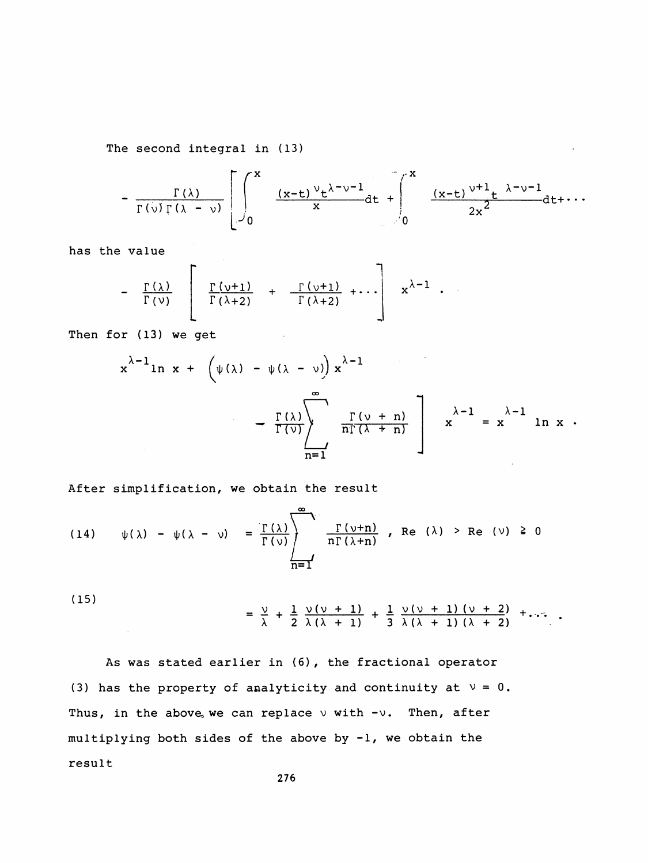The second integral in (13)

$$
-\frac{\Gamma(\lambda)}{\Gamma(\nu)\Gamma(\lambda-\nu)}\left[\int_{0}^{x}\frac{(x-t)^{\nu}t^{\lambda-\nu-1}}{x}dt+\int_{0}^{x}\frac{(x-t)^{\nu+1}t^{\lambda-\nu-1}}{2x^{2}}dt+\cdots\right]
$$

has the value

$$
- \frac{\Gamma(\lambda)}{\Gamma(\nu)} \left[ \frac{\Gamma(\nu+1)}{\Gamma(\lambda+2)} + \frac{\Gamma(\nu+1)}{\Gamma(\lambda+2)} + \cdots \right] x^{\lambda-1} .
$$

Then for (13) we get

r (13) we get  
\n
$$
x^{\lambda-1}\ln x + \left(\psi(\lambda) - \psi(\lambda - \nu)\right)x^{\lambda-1} - \frac{\Gamma(\lambda)}{\Gamma(\nu)} \left[\frac{\Gamma(\nu + n)}{n\Gamma(\lambda + n)}\right] x^{\lambda-1} = x^{\lambda-1} \ln x.
$$

After simplification, we obtain the result

(14) 
$$
\psi(\lambda) - \psi(\lambda - \nu) = \frac{\Gamma(\lambda)}{\Gamma(\nu)} \left\{ \frac{\Gamma(\nu+n)}{n\Gamma(\lambda+n)} \right\}
$$
, Re  $(\lambda) > Re (\nu) \ge 0$   
 $\frac{\Gamma(\nu+n)}{n\Gamma(\lambda+n)}$ 

 (15)  $=$   $\frac{v}{r} + \frac{1}{r}$   $\frac{v(v + 1)}{r} + \frac{1}{r}$   $\frac{v(v + 1)(v + 2)}{r} + ...$  $\lambda$  2  $\lambda (\lambda + 1)$  3  $\lambda (\lambda + 1) (\lambda + 2)$ 

 As was stated earlier in (6) , the fractional operator (3) has the property of analyticity and continuity at  $v = 0$ . Thus, in the above, we can replace  $\vee$  with  $-\vee$ . Then, after multiplying both sides of the above by -1, we obtain the result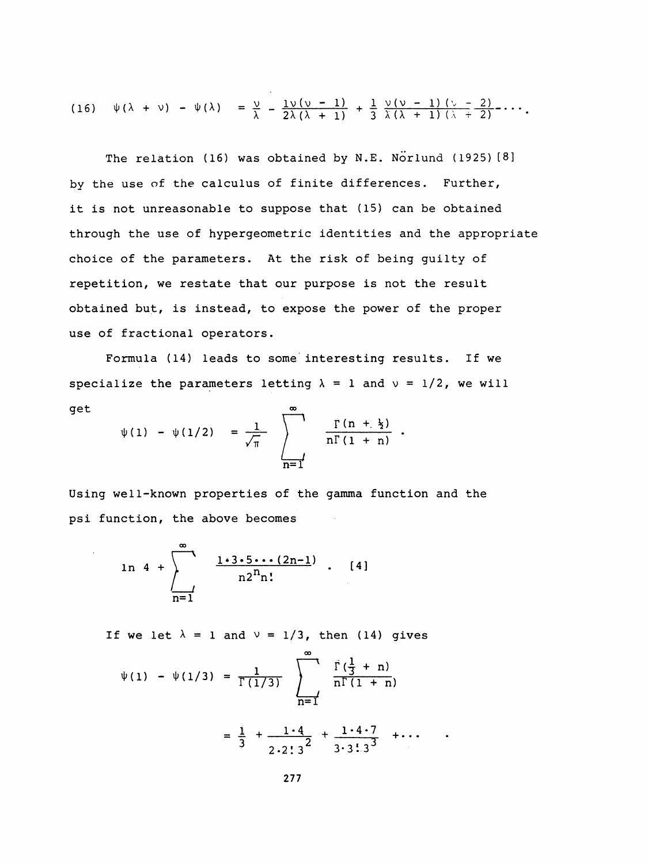(16) 
$$
\psi(\lambda + \nu) - \psi(\lambda) = \frac{\nu}{\lambda} - \frac{1\nu(\nu - 1)}{2\lambda(\lambda + 1)} + \frac{1}{3} \frac{\nu(\nu - 1)(\nu - 2)}{\lambda(\lambda + 1)(\lambda + 2)} - \cdots
$$

The relation (16) was obtained by N.E. Norlund (1925) [8] by the use of the calculus of finite differences. Further, it is not unreasonable to suppose that (15) can be obtained through the use of hypergeometric identities and the appropriate choice of the parameters. At the risk of being guilty of repetition, we restate that our purpose is not the result obtained but, is instead, to expose the power of the proper use of fractional operators.

 Formula (14) leads to some interesting results. If we specialize the parameters letting  $\lambda = 1$  and  $\nu = 1/2$ , we will specialize the parameters lettinget

$$
\psi(1) - \psi(1/2) = \frac{1}{\sqrt{\pi}} \sum_{n=1}^{\infty} \frac{\Gamma(n + \frac{1}{2})}{n\Gamma(1 + n)}.
$$

 Using well-known properties of the gamma function and the psi function, the above becomes

$$
\ln 4 + \sum_{n=1}^{\infty} \frac{1 \cdot 3 \cdot 5 \cdots (2n-1)}{n 2^{n} n!} \quad . \quad [4]
$$

If we let  $\lambda = 1$  and  $\nu = 1/3$ , then (14) gives

$$
\psi(1) - \psi(1/3) = \frac{1}{\Gamma(1/3)} \sum_{n=1}^{\infty} \frac{\Gamma(\frac{1}{3} + n)}{n\Gamma(1 + n)}
$$
  
=  $\frac{1}{3} + \frac{1 \cdot 4}{2 \cdot 2 \cdot 3^2} + \frac{1 \cdot 4 \cdot 7}{3 \cdot 3 \cdot 3 \cdot 3^3} + \cdots$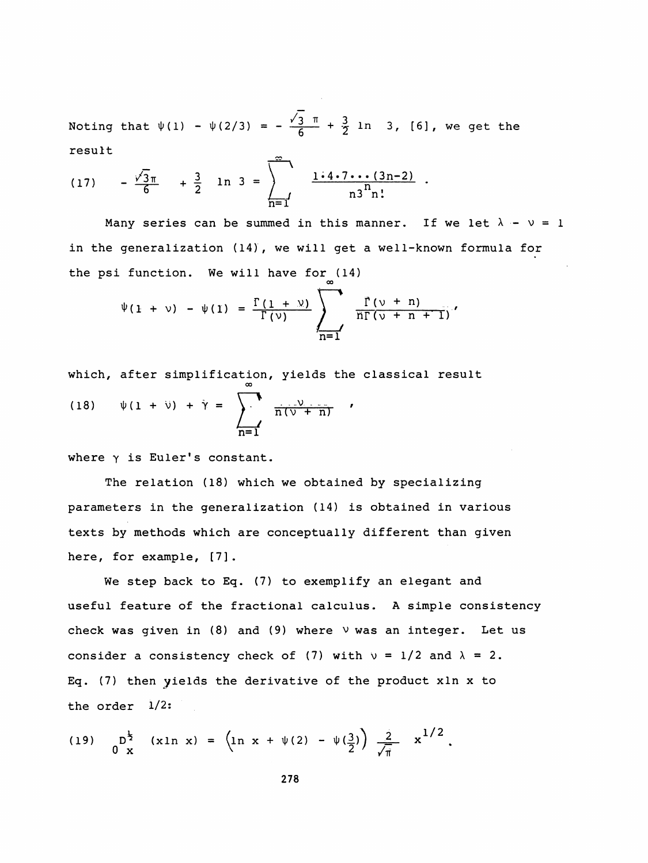Noting that  $\psi(1) - \psi(2/3) = - \frac{v_3}{6} + \frac{3}{2}$  ln 3, [6], we get the<br>result

result  
(17) 
$$
-\frac{\sqrt{3}\pi}{6} + \frac{3}{2} \ln 3 = \sum_{n=1}^{\infty} \frac{1 \cdot 4 \cdot 7 \cdots (3n-2)}{n 3^{n} n!}
$$
.

Many series can be summed in this manner. If we let  $\lambda - \nu = 1$  in the generalization (14), we will get a well-known formula for the psi function. We will have for (14)

$$
\psi(1 + \nu) - \psi(1) = \frac{\Gamma(1 + \nu)}{\Gamma(\nu)} \sum_{n=1}^{\infty} \frac{\Gamma(\nu + n)}{n\Gamma(\nu + n + 1)}
$$

which, after simplification, yields the classical result  
\n(18) 
$$
\psi(1 + \psi) + \gamma = \sum_{n=1}^{\infty} \frac{\psi(n+1)}{n(n+1)}
$$

where  $\gamma$  is Euler's constant.

 The relation (18) which we obtained by specializing parameters in the generalization (14) is obtained in various texts by methods which are conceptually different than given here, for example, [7].

 We step back to Eq. (7) to exemplify an elegant and useful feature of the fractional calculus. A simple consistency check was given in  $(8)$  and  $(9)$  where  $\vee$  was an integer. Let us consider a consistency check of (7) with  $v = 1/2$  and  $\lambda = 2$ . Eq. (7) then yields the derivative of the product xln x to the order 1/2:

(19) 
$$
0^{\frac{1}{2}} x (x \ln x) = \left( \ln x + \psi(2) - \psi(\frac{3}{2}) \right) \frac{2}{\sqrt{\pi}} x^{1/2}.
$$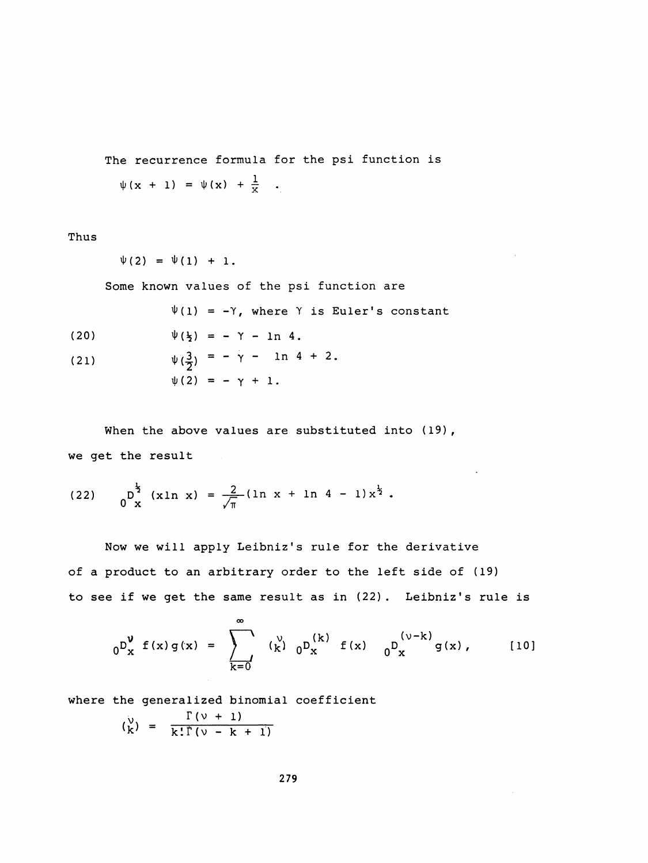The recurrence formula for the psi function is  $\psi$ (x + 1) =  $\psi$ (x) +  $\frac{1}{x}$  .

Thus

$$
\psi(2) = \psi(1) + 1.
$$

Some known values of the psi function are

 $\Psi(1) = -Y$ , where Y is Euler's constant

- (20)  $\psi(\frac{1}{2}) = \gamma \ln 4$ .
- (21)  $\psi(\frac{3}{2}) = -\gamma \ln 4 + 2.$  $\psi(2) = - \gamma + 1$ .

When the above values are substituted into (19), we get the result

(22) 
$$
0^{\frac{1}{2}}(x \ln x) = \frac{2}{\sqrt{\pi}} (\ln x + \ln 4 - 1) x^{\frac{1}{2}}.
$$

 Now we will apply Leibniz's rule for the derivative of a product to an arbitrary order to the left side of (19) to see if we get the same result as in (22). Leibniz's rule is

$$
{}_{0}D_{x}^{\nu} f(x) g(x) = \sum_{k=0}^{\infty} ({}_{k}^{\nu}) {}_{0}D_{x}^{(k)} f(x) { }_{0}D_{x}^{(\nu-k)} g(x), \qquad [10]
$$

where the generalized binomial coefficient

$$
\binom{v}{k} = \frac{\Gamma(v + 1)}{k!\Gamma(v - k + 1)}
$$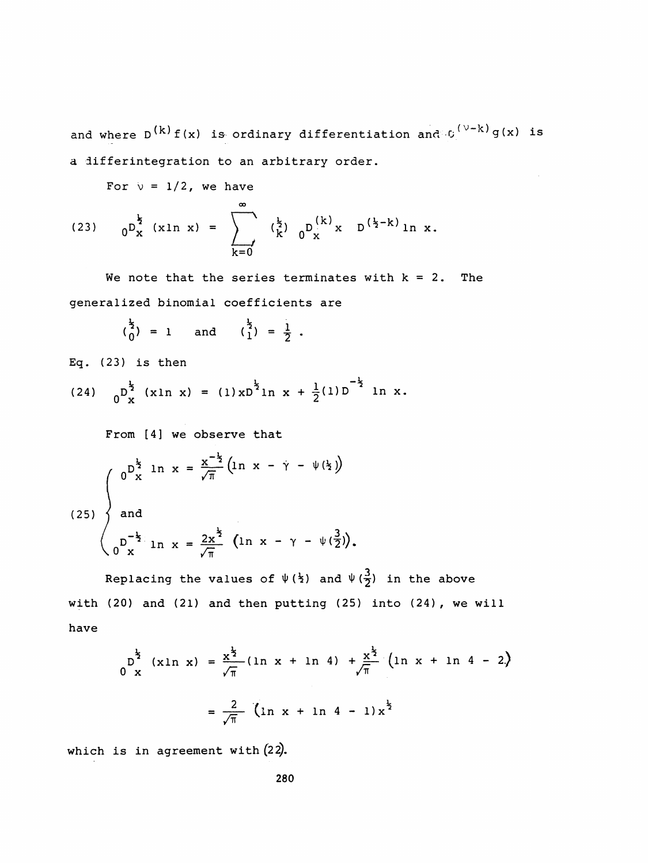and where  $D^{(k)}f(x)$  is ordinary differentiation and  $C^{(\nu-k)}g(x)$  is a differintegration to an arbitrary order.

For  $v = 1/2$ , we have

(23) 
$$
0^{\frac{k}{2}} (x \ln x) = \sum_{k=0}^{\infty} {(\frac{k}{2})} 0^{\frac{k}{2}} x D^{(k)} (x) \ln x.
$$

We note that the series terminates with  $k = 2$ . The generalized binomial coefficients are

$$
\binom{\frac{1}{2}}{0} = 1
$$
 and  $\binom{\frac{1}{2}}{1} = \frac{1}{2}$ .

Eq. (23) is then

Eq. (23) is then  
\n(24) 
$$
0^{\frac{1}{2}}
$$
 (xln x) = (1)  $xD^{\frac{1}{2}}$ ln x +  $\frac{1}{2}$ (1)  $D^{-\frac{1}{2}}$ ln x.

From [4] we observe that

$$
(25) \begin{cases} 0^{\frac{1}{2}} \ln x = \frac{x^{-\frac{1}{2}}}{\sqrt{\pi}} (\ln x - \gamma - \psi(\frac{1}{2})) \\ \text{and} \\ 0^{\frac{-1}{2}} \ln x = \frac{2x^{\frac{1}{2}}}{\sqrt{\pi}} (\ln x - \gamma - \psi(\frac{3}{2})). \end{cases}
$$

Replacing the values of  $\Psi$  ( $\frac{1}{2}$ ) and  $\Psi$  ( $\frac{3}{2}$  with (20) and (21) and then putting (25) into (24) , we will have

0) and (21) and then putting (25) into (24), we will  
\n
$$
D^{\frac{1}{2}}(x \ln x) = \frac{x^{\frac{1}{2}}}{\sqrt{\pi}} (\ln x + \ln 4) + \frac{x^{\frac{1}{2}}}{\sqrt{\pi}} (\ln x + \ln 4 - 2)
$$
\n
$$
= \frac{2}{\sqrt{\pi}} (\ln x + \ln 4 - 1) x^{\frac{1}{2}}
$$

which is in agreement with  $(22)$ .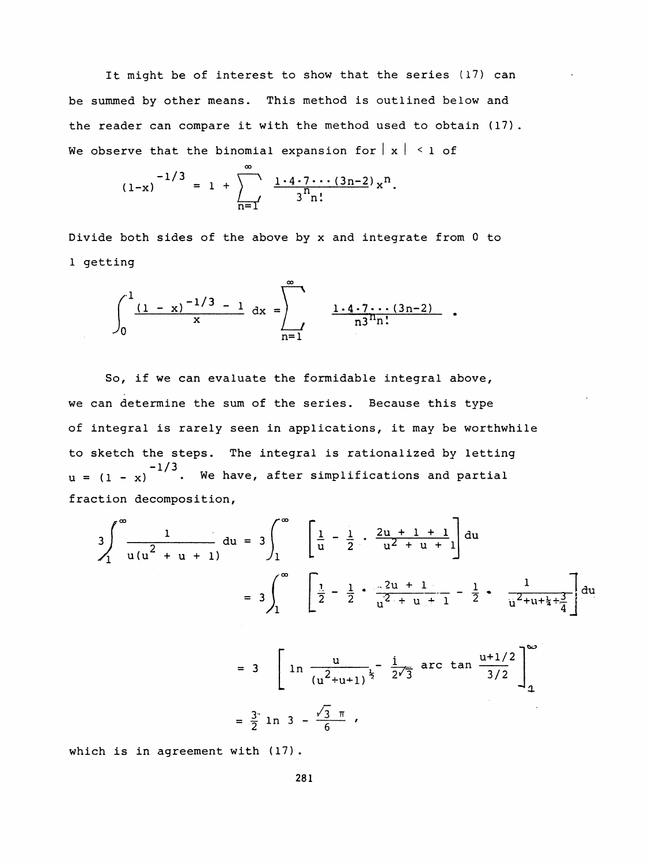It might be of interest to show that the series (17) can be summed by other means. This method is outlined below and the reader can compare it with the method used to obtain (17) . We observe that the binomial expansion for  $|x| \le 1$  of

$$
(1-x)^{-1/3} = 1 + \sum_{n=1}^{\infty} \frac{1 \cdot 4 \cdot 7 \cdots (3n-2)}{3^n n!} x^n.
$$

 Divide both sides of the above by x and integrate from 0 to 1 getting

$$
\int_0^1 \frac{(1-x)^{-1/3}-1}{x} dx = \int_{n=1}^\infty \frac{1\cdot 4\cdot 7\cdots (3n-2)}{n3^n n!}.
$$

 So, if we can evaluate the formidable integral above, we can determine the sum of the series. Because this type of integral is rarely seen in applications, it may be worthwhile to sketch the steps. The integral is rationalized by letting  $(u = (1 - x))$   $(u = 1/3)$ . We have, after simplifications and partial fraction decomposition,

$$
3\int_{1}^{\infty} \frac{1}{u(u^{2} + u + 1)} du = 3\int_{1}^{\infty} \left[ \frac{1}{u} - \frac{1}{2} \cdot \frac{2u + 1 + 1}{u^{2} + u + 1} \right] du
$$
  

$$
= 3\int_{1}^{\infty} \left[ \frac{1}{2} - \frac{1}{2} \cdot \frac{2u + 1}{u^{2} + u + 1} - \frac{1}{2} \cdot \frac{1}{u^{2} + u + \frac{1}{4} + \frac{3}{4}} \right] du
$$
  

$$
= 3 \left[ \ln \frac{u}{(u^{2} + u + 1)^{\frac{1}{2}}} - \frac{1}{2\sqrt{3}} \text{ arc } \tan \frac{u + 1/2}{3/2} \right]_{4}^{\infty}
$$

$$
= \frac{3}{2} \ln 3 - \frac{\sqrt{3} \pi}{6}
$$

which is in agreement with (17).